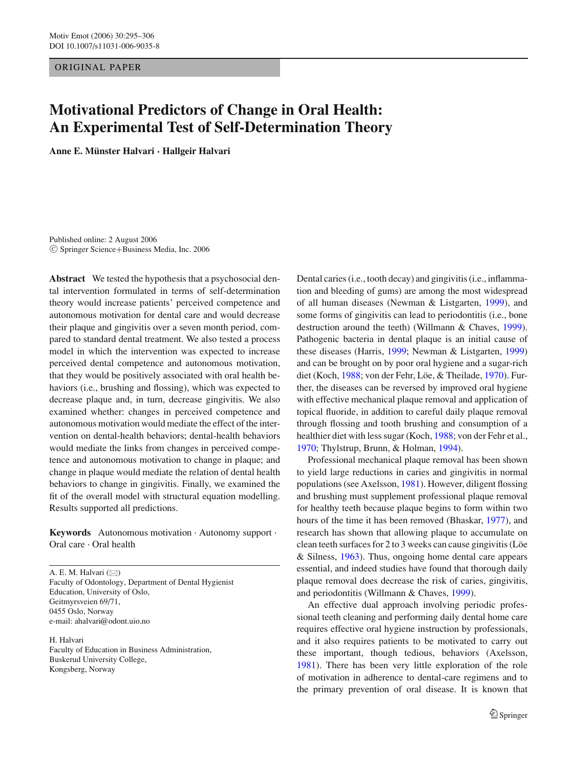ORIGINAL PAPER

# **Motivational Predictors of Change in Oral Health: An Experimental Test of Self-Determination Theory**

**Anne E. Munster Halvari ¨ · Hallgeir Halvari**

Published online: 2 August 2006 <sup>C</sup> Springer Science+Business Media, Inc. 2006

**Abstract** We tested the hypothesis that a psychosocial dental intervention formulated in terms of self-determination theory would increase patients' perceived competence and autonomous motivation for dental care and would decrease their plaque and gingivitis over a seven month period, compared to standard dental treatment. We also tested a process model in which the intervention was expected to increase perceived dental competence and autonomous motivation, that they would be positively associated with oral health behaviors (i.e., brushing and flossing), which was expected to decrease plaque and, in turn, decrease gingivitis. We also examined whether: changes in perceived competence and autonomous motivation would mediate the effect of the intervention on dental-health behaviors; dental-health behaviors would mediate the links from changes in perceived competence and autonomous motivation to change in plaque; and change in plaque would mediate the relation of dental health behaviors to change in gingivitis. Finally, we examined the fit of the overall model with structural equation modelling. Results supported all predictions.

**Keywords** Autonomous motivation . Autonomy support . Oral care . Oral health

A. E. M. Halvari  $(\boxtimes)$ Faculty of Odontology, Department of Dental Hygienist Education, University of Oslo, Geitmyrsveien 69/71, 0455 Oslo, Norway e-mail: ahalvari@odont.uio.no

H. Halvari

Faculty of Education in Business Administration, Buskerud University College, Kongsberg, Norway

Dental caries (i.e., tooth decay) and gingivitis (i.e., inflammation and bleeding of gums) are among the most widespread of all human diseases (Newman & Listgarten, [1999\)](#page-11-0), and some forms of gingivitis can lead to periodontitis (i.e., bone destruction around the teeth) (Willmann & Chaves, [1999\)](#page-11-1). Pathogenic bacteria in dental plaque is an initial cause of these diseases (Harris, [1999;](#page-10-0) Newman & Listgarten, [1999\)](#page-11-0) and can be brought on by poor oral hygiene and a sugar-rich diet (Koch, [1988;](#page-11-2) von der Fehr, Löe, & Theilade, [1970\)](#page-11-3). Further, the diseases can be reversed by improved oral hygiene with effective mechanical plaque removal and application of topical fluoride, in addition to careful daily plaque removal through flossing and tooth brushing and consumption of a healthier diet with less sugar (Koch, [1988;](#page-11-2) von der Fehr et al., [1970;](#page-11-3) Thylstrup, Brunn, & Holman, [1994\)](#page-11-4).

Professional mechanical plaque removal has been shown to yield large reductions in caries and gingivitis in normal populations (see Axelsson, [1981\)](#page-10-1). However, diligent flossing and brushing must supplement professional plaque removal for healthy teeth because plaque begins to form within two hours of the time it has been removed (Bhaskar, [1977\)](#page-10-2), and research has shown that allowing plaque to accumulate on clean teeth surfaces for 2 to 3 weeks can cause gingivitis (Löe & Silness, [1963\)](#page-11-5). Thus, ongoing home dental care appears essential, and indeed studies have found that thorough daily plaque removal does decrease the risk of caries, gingivitis, and periodontitis (Willmann & Chaves, [1999\)](#page-11-1).

An effective dual approach involving periodic professional teeth cleaning and performing daily dental home care requires effective oral hygiene instruction by professionals, and it also requires patients to be motivated to carry out these important, though tedious, behaviors (Axelsson, [1981\)](#page-10-1). There has been very little exploration of the role of motivation in adherence to dental-care regimens and to the primary prevention of oral disease. It is known that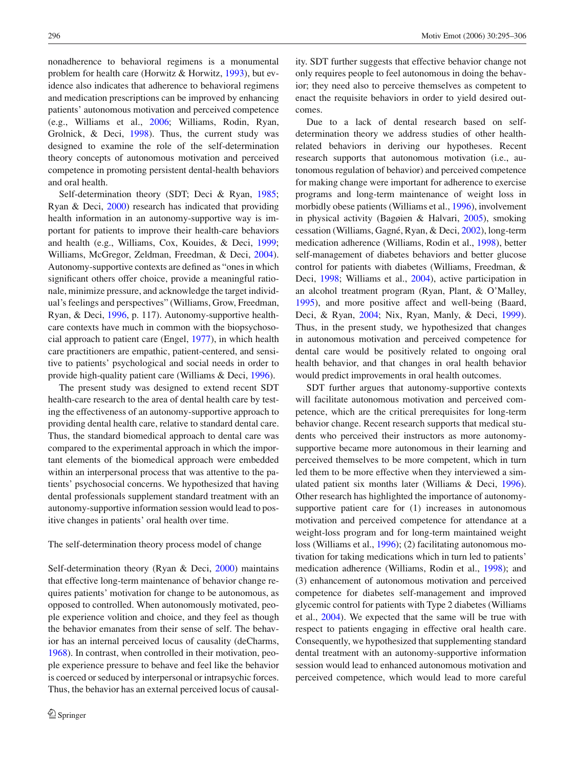nonadherence to behavioral regimens is a monumental problem for health care (Horwitz & Horwitz, [1993\)](#page-10-3), but evidence also indicates that adherence to behavioral regimens and medication prescriptions can be improved by enhancing patients' autonomous motivation and perceived competence (e.g., Williams et al., [2006;](#page-11-6) Williams, Rodin, Ryan, Grolnick, & Deci, [1998\)](#page-11-7). Thus, the current study was designed to examine the role of the self-determination theory concepts of autonomous motivation and perceived competence in promoting persistent dental-health behaviors and oral health.

Self-determination theory (SDT; Deci & Ryan, [1985;](#page-10-4) Ryan & Deci, [2000\)](#page-11-8) research has indicated that providing health information in an autonomy-supportive way is important for patients to improve their health-care behaviors and health (e.g., Williams, Cox, Kouides, & Deci, [1999;](#page-11-9) Williams, McGregor, Zeldman, Freedman, & Deci, [2004\)](#page-11-10). Autonomy-supportive contexts are defined as "ones in which significant others offer choice, provide a meaningful rationale, minimize pressure, and acknowledge the target individual's feelings and perspectives" (Williams, Grow, Freedman, Ryan, & Deci, [1996,](#page-11-11) p. 117). Autonomy-supportive healthcare contexts have much in common with the biopsychosocial approach to patient care (Engel, [1977\)](#page-10-5), in which health care practitioners are empathic, patient-centered, and sensitive to patients' psychological and social needs in order to provide high-quality patient care (Williams & Deci, [1996\)](#page-11-12).

The present study was designed to extend recent SDT health-care research to the area of dental health care by testing the effectiveness of an autonomy-supportive approach to providing dental health care, relative to standard dental care. Thus, the standard biomedical approach to dental care was compared to the experimental approach in which the important elements of the biomedical approach were embedded within an interpersonal process that was attentive to the patients' psychosocial concerns. We hypothesized that having dental professionals supplement standard treatment with an autonomy-supportive information session would lead to positive changes in patients' oral health over time.

#### The self-determination theory process model of change

Self-determination theory (Ryan & Deci, [2000\)](#page-11-8) maintains that effective long-term maintenance of behavior change requires patients' motivation for change to be autonomous, as opposed to controlled. When autonomously motivated, people experience volition and choice, and they feel as though the behavior emanates from their sense of self. The behavior has an internal perceived locus of causality (deCharms, [1968\)](#page-10-6). In contrast, when controlled in their motivation, people experience pressure to behave and feel like the behavior is coerced or seduced by interpersonal or intrapsychic forces. Thus, the behavior has an external perceived locus of causality. SDT further suggests that effective behavior change not only requires people to feel autonomous in doing the behavior; they need also to perceive themselves as competent to enact the requisite behaviors in order to yield desired outcomes.

Due to a lack of dental research based on selfdetermination theory we address studies of other healthrelated behaviors in deriving our hypotheses. Recent research supports that autonomous motivation (i.e., autonomous regulation of behavior) and perceived competence for making change were important for adherence to exercise programs and long-term maintenance of weight loss in morbidly obese patients (Williams et al., [1996\)](#page-11-11), involvement in physical activity (Bagøien & Halvari, [2005\)](#page-10-7), smoking cessation (Williams, Gagné, Ryan, & Deci, [2002\)](#page-11-13), long-term medication adherence (Williams, Rodin et al., [1998\)](#page-11-7), better self-management of diabetes behaviors and better glucose control for patients with diabetes (Williams, Freedman, & Deci, [1998;](#page-11-14) Williams et al., [2004\)](#page-11-10), active participation in an alcohol treatment program (Ryan, Plant, & O'Malley, [1995\)](#page-11-15), and more positive affect and well-being (Baard, Deci, & Ryan, [2004;](#page-10-8) Nix, Ryan, Manly, & Deci, [1999\)](#page-11-16). Thus, in the present study, we hypothesized that changes in autonomous motivation and perceived competence for dental care would be positively related to ongoing oral health behavior, and that changes in oral health behavior would predict improvements in oral health outcomes.

SDT further argues that autonomy-supportive contexts will facilitate autonomous motivation and perceived competence, which are the critical prerequisites for long-term behavior change. Recent research supports that medical students who perceived their instructors as more autonomysupportive became more autonomous in their learning and perceived themselves to be more competent, which in turn led them to be more effective when they interviewed a simulated patient six months later (Williams & Deci, [1996\)](#page-11-12). Other research has highlighted the importance of autonomysupportive patient care for  $(1)$  increases in autonomous motivation and perceived competence for attendance at a weight-loss program and for long-term maintained weight loss (Williams et al., [1996\)](#page-11-11); (2) facilitating autonomous motivation for taking medications which in turn led to patients' medication adherence (Williams, Rodin et al., [1998\)](#page-11-7); and (3) enhancement of autonomous motivation and perceived competence for diabetes self-management and improved glycemic control for patients with Type 2 diabetes (Williams et al., [2004\)](#page-11-10). We expected that the same will be true with respect to patients engaging in effective oral health care. Consequently, we hypothesized that supplementing standard dental treatment with an autonomy-supportive information session would lead to enhanced autonomous motivation and perceived competence, which would lead to more careful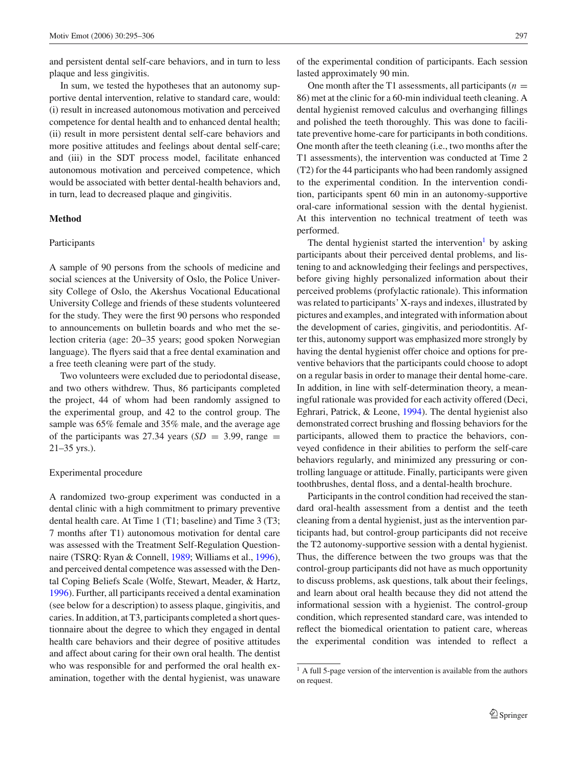and persistent dental self-care behaviors, and in turn to less plaque and less gingivitis.

In sum, we tested the hypotheses that an autonomy supportive dental intervention, relative to standard care, would: (i) result in increased autonomous motivation and perceived competence for dental health and to enhanced dental health; (ii) result in more persistent dental self-care behaviors and more positive attitudes and feelings about dental self-care; and (iii) in the SDT process model, facilitate enhanced autonomous motivation and perceived competence, which would be associated with better dental-health behaviors and, in turn, lead to decreased plaque and gingivitis.

# **Method**

## Participants

A sample of 90 persons from the schools of medicine and social sciences at the University of Oslo, the Police University College of Oslo, the Akershus Vocational Educational University College and friends of these students volunteered for the study. They were the first 90 persons who responded to announcements on bulletin boards and who met the selection criteria (age: 20–35 years; good spoken Norwegian language). The flyers said that a free dental examination and a free teeth cleaning were part of the study.

Two volunteers were excluded due to periodontal disease, and two others withdrew. Thus, 86 participants completed the project, 44 of whom had been randomly assigned to the experimental group, and 42 to the control group. The sample was 65% female and 35% male, and the average age of the participants was 27.34 years  $(SD = 3.99)$ , range = 21–35 yrs.).

# Experimental procedure

A randomized two-group experiment was conducted in a dental clinic with a high commitment to primary preventive dental health care. At Time 1 (T1; baseline) and Time 3 (T3; 7 months after T1) autonomous motivation for dental care was assessed with the Treatment Self-Regulation Questionnaire (TSRQ: Ryan & Connell, [1989;](#page-11-17) Williams et al., [1996\)](#page-11-11), and perceived dental competence was assessed with the Dental Coping Beliefs Scale (Wolfe, Stewart, Meader, & Hartz, [1996\)](#page-11-18). Further, all participants received a dental examination (see below for a description) to assess plaque, gingivitis, and caries. In addition, at T3, participants completed a short questionnaire about the degree to which they engaged in dental health care behaviors and their degree of positive attitudes and affect about caring for their own oral health. The dentist who was responsible for and performed the oral health examination, together with the dental hygienist, was unaware of the experimental condition of participants. Each session lasted approximately 90 min.

One month after the T1 assessments, all participants  $(n =$ 86) met at the clinic for a 60-min individual teeth cleaning. A dental hygienist removed calculus and overhanging fillings and polished the teeth thoroughly. This was done to facilitate preventive home-care for participants in both conditions. One month after the teeth cleaning (i.e., two months after the T1 assessments), the intervention was conducted at Time 2 (T2) for the 44 participants who had been randomly assigned to the experimental condition. In the intervention condition, participants spent 60 min in an autonomy-supportive oral-care informational session with the dental hygienist. At this intervention no technical treatment of teeth was performed.

The dental hygienist started the intervention by asking participants about their perceived dental problems, and listening to and acknowledging their feelings and perspectives, before giving highly personalized information about their perceived problems (profylactic rationale). This information was related to participants' X-rays and indexes, illustrated by pictures and examples, and integrated with information about the development of caries, gingivitis, and periodontitis. After this, autonomy support was emphasized more strongly by having the dental hygienist offer choice and options for preventive behaviors that the participants could choose to adopt on a regular basis in order to manage their dental home-care. In addition, in line with self-determination theory, a meaningful rationale was provided for each activity offered (Deci, Eghrari, Patrick, & Leone, [1994\)](#page-10-9). The dental hygienist also demonstrated correct brushing and flossing behaviors for the participants, allowed them to practice the behaviors, conveyed confidence in their abilities to perform the self-care behaviors regularly, and minimized any pressuring or controlling language or attitude. Finally, participants were given toothbrushes, dental floss, and a dental-health brochure.

Participants in the control condition had received the standard oral-health assessment from a dentist and the teeth cleaning from a dental hygienist, just as the intervention participants had, but control-group participants did not receive the T2 autonomy-supportive session with a dental hygienist. Thus, the difference between the two groups was that the control-group participants did not have as much opportunity to discuss problems, ask questions, talk about their feelings, and learn about oral health because they did not attend the informational session with a hygienist. The control-group condition, which represented standard care, was intended to reflect the biomedical orientation to patient care, whereas the experimental condition was intended to reflect a

<span id="page-2-0"></span> $<sup>1</sup>$  A full 5-page version of the intervention is available from the authors</sup> on request.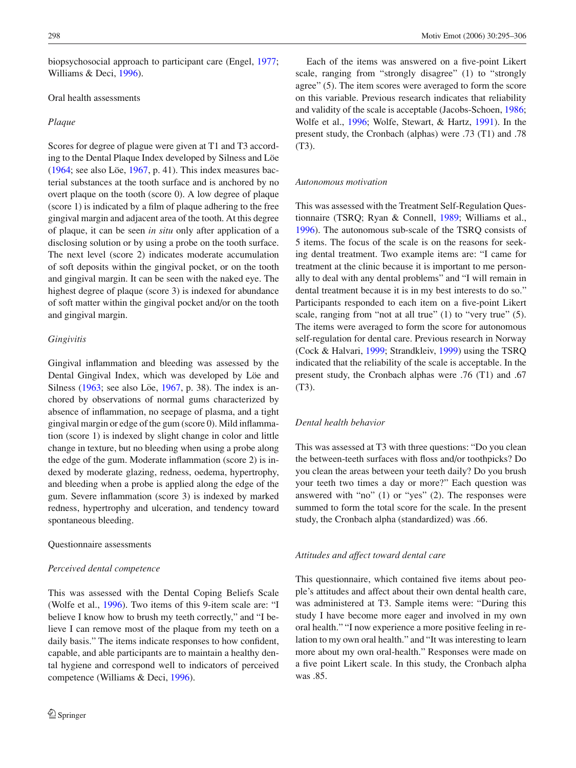biopsychosocial approach to participant care (Engel, [1977;](#page-10-5) Williams & Deci, [1996\)](#page-11-12).

# Oral health assessments

#### *Plaque*

Scores for degree of plague were given at T1 and T3 according to the Dental Plaque Index developed by Silness and Löe [\(1964;](#page-11-19) see also Löe, [1967,](#page-11-20) p. 41). This index measures bacterial substances at the tooth surface and is anchored by no overt plaque on the tooth (score 0). A low degree of plaque (score 1) is indicated by a film of plaque adhering to the free gingival margin and adjacent area of the tooth. At this degree of plaque, it can be seen *in situ* only after application of a disclosing solution or by using a probe on the tooth surface. The next level (score 2) indicates moderate accumulation of soft deposits within the gingival pocket, or on the tooth and gingival margin. It can be seen with the naked eye. The highest degree of plaque (score 3) is indexed for abundance of soft matter within the gingival pocket and/or on the tooth and gingival margin.

## *Gingivitis*

Gingival inflammation and bleeding was assessed by the Dental Gingival Index, which was developed by Löe and Silness  $(1963;$  see also Löe,  $1967$ , p. 38). The index is anchored by observations of normal gums characterized by absence of inflammation, no seepage of plasma, and a tight gingival margin or edge of the gum (score 0). Mild inflammation (score 1) is indexed by slight change in color and little change in texture, but no bleeding when using a probe along the edge of the gum. Moderate inflammation (score 2) is indexed by moderate glazing, redness, oedema, hypertrophy, and bleeding when a probe is applied along the edge of the gum. Severe inflammation (score 3) is indexed by marked redness, hypertrophy and ulceration, and tendency toward spontaneous bleeding.

# Questionnaire assessments

#### *Perceived dental competence*

This was assessed with the Dental Coping Beliefs Scale (Wolfe et al., [1996\)](#page-11-18). Two items of this 9-item scale are: "I believe I know how to brush my teeth correctly," and "I believe I can remove most of the plaque from my teeth on a daily basis." The items indicate responses to how confident, capable, and able participants are to maintain a healthy dental hygiene and correspond well to indicators of perceived competence (Williams & Deci, [1996\)](#page-11-12).

Each of the items was answered on a five-point Likert scale, ranging from "strongly disagree" (1) to "strongly agree" (5). The item scores were averaged to form the score on this variable. Previous research indicates that reliability and validity of the scale is acceptable (Jacobs-Schoen, [1986;](#page-10-10) Wolfe et al., [1996;](#page-11-18) Wolfe, Stewart, & Hartz, [1991\)](#page-11-21). In the present study, the Cronbach (alphas) were .73 (T1) and .78 (T3).

#### *Autonomous motivation*

This was assessed with the Treatment Self-Regulation Questionnaire (TSRQ; Ryan & Connell, [1989;](#page-11-17) Williams et al., [1996\)](#page-11-18). The autonomous sub-scale of the TSRQ consists of 5 items. The focus of the scale is on the reasons for seeking dental treatment. Two example items are: "I came for treatment at the clinic because it is important to me personally to deal with any dental problems" and "I will remain in dental treatment because it is in my best interests to do so." Participants responded to each item on a five-point Likert scale, ranging from "not at all true" (1) to "very true" (5). The items were averaged to form the score for autonomous self-regulation for dental care. Previous research in Norway (Cock & Halvari, [1999;](#page-10-11) Strandkleiv, [1999\)](#page-11-22) using the TSRQ indicated that the reliability of the scale is acceptable. In the present study, the Cronbach alphas were .76 (T1) and .67 (T3).

# *Dental health behavior*

This was assessed at T3 with three questions: "Do you clean the between-teeth surfaces with floss and/or toothpicks? Do you clean the areas between your teeth daily? Do you brush your teeth two times a day or more?" Each question was answered with "no" (1) or "yes" (2). The responses were summed to form the total score for the scale. In the present study, the Cronbach alpha (standardized) was .66.

# *Attitudes and affect toward dental care*

This questionnaire, which contained five items about people's attitudes and affect about their own dental health care, was administered at T3. Sample items were: "During this study I have become more eager and involved in my own oral health." "I now experience a more positive feeling in relation to my own oral health." and "It was interesting to learn more about my own oral-health." Responses were made on a five point Likert scale. In this study, the Cronbach alpha was .85.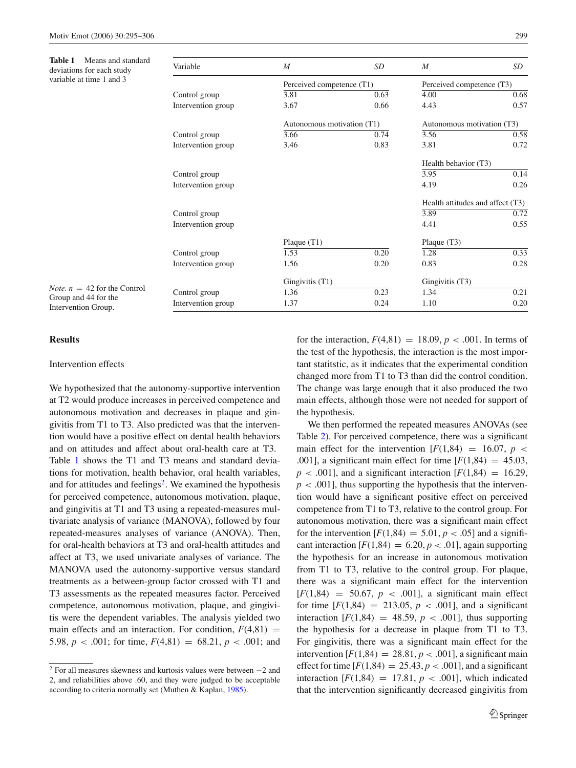<span id="page-4-0"></span>**Table 1** Means and standard deviations for each study variable at time 1 and 3

| Variable           | M                          | SD   | $\boldsymbol{M}$                 | SD   |  |
|--------------------|----------------------------|------|----------------------------------|------|--|
|                    | Perceived competence (T1)  |      | Perceived competence (T3)        |      |  |
| Control group      | 3.81                       | 0.63 | 4.00                             | 0.68 |  |
| Intervention group | 3.67                       | 0.66 | 4.43                             | 0.57 |  |
|                    | Autonomous motivation (T1) |      | Autonomous motivation (T3)       |      |  |
| Control group      | 3.66                       | 0.74 | 3.56                             | 0.58 |  |
| Intervention group | 3.46                       | 0.83 | 3.81                             | 0.72 |  |
|                    |                            |      | Health behavior (T3)             |      |  |
| Control group      |                            |      | 3.95                             | 0.14 |  |
| Intervention group |                            |      | 4.19                             | 0.26 |  |
|                    |                            |      | Health attitudes and affect (T3) |      |  |
| Control group      |                            |      | 3.89                             | 0.72 |  |
| Intervention group |                            |      | 4.41                             | 0.55 |  |
|                    | Plaque $(T1)$              |      | Plaque $(T3)$                    |      |  |
| Control group      | 1.53                       | 0.20 | 1.28                             | 0.33 |  |
| Intervention group | 1.56                       | 0.20 | 0.83                             | 0.28 |  |
|                    | Gingivitis (T1)            |      | Gingivitis (T3)                  |      |  |
| Control group      | 1.36                       | 0.23 | 1.34                             | 0.21 |  |
| Intervention group | 1.37                       | 0.24 | 1.10                             | 0.20 |  |

# **Results**

# Intervention effects

*Note.*  $n = 42$  for the Control Group and 44 for the Intervention Group.

We hypothesized that the autonomy-supportive intervention at T2 would produce increases in perceived competence and autonomous motivation and decreases in plaque and gingivitis from T1 to T3. Also predicted was that the intervention would have a positive effect on dental health behaviors and on attitudes and affect about oral-health care at T3. Table [1](#page-4-0) shows the T1 and T3 means and standard deviations for motivation, health behavior, oral health variables, and for attitudes and feelings<sup>[2](#page-4-1)</sup>. We examined the hypothesis for perceived competence, autonomous motivation, plaque, and gingivitis at T1 and T3 using a repeated-measures multivariate analysis of variance (MANOVA), followed by four repeated-measures analyses of variance (ANOVA). Then, for oral-health behaviors at T3 and oral-health attitudes and affect at T3, we used univariate analyses of variance. The MANOVA used the autonomy-supportive versus standard treatments as a between-group factor crossed with T1 and T3 assessments as the repeated measures factor. Perceived competence, autonomous motivation, plaque, and gingivitis were the dependent variables. The analysis yielded two main effects and an interaction. For condition,  $F(4,81) =$ 5.98,  $p < .001$ ; for time,  $F(4,81) = 68.21$ ,  $p < .001$ ; and for the interaction,  $F(4,81) = 18.09, p < .001$ . In terms of the test of the hypothesis, the interaction is the most important statitstic, as it indicates that the experimental condition changed more from T1 to T3 than did the control condition. The change was large enough that it also produced the two main effects, although those were not needed for support of the hypothesis.

We then performed the repeated measures ANOVAs (see Table [2\)](#page-5-0). For perceived competence, there was a significant main effect for the intervention  $[F(1,84) = 16.07, p <$ .001], a significant main effect for time  $[F(1,84) = 45.03]$ ,  $p < .001$ ], and a significant interaction  $F(1,84) = 16.29$ ,  $p < .001$ , thus supporting the hypothesis that the intervention would have a significant positive effect on perceived competence from T1 to T3, relative to the control group. For autonomous motivation, there was a significant main effect for the intervention  $[F(1,84) = 5.01, p < .05]$  and a significant interaction  $[F(1,84) = 6.20, p < .01]$ , again supporting the hypothesis for an increase in autonomous motivation from T1 to T3, relative to the control group. For plaque, there was a significant main effect for the intervention  $[F(1,84) = 50.67, p < .001]$ , a significant main effect for time  $[F(1,84) = 213.05, p < .001]$ , and a significant interaction  $[F(1,84) = 48.59, p < .001]$ , thus supporting the hypothesis for a decrease in plaque from T1 to T3. For gingivitis, there was a significant main effect for the intervention  $[F(1,84) = 28.81, p < .001]$ , a significant main effect for time  $[F(1,84) = 25.43, p < .001]$ , and a significant interaction  $[F(1,84) = 17.81, p < .001]$ , which indicated that the intervention significantly decreased gingivitis from

<span id="page-4-1"></span><sup>2</sup> For all measures skewness and kurtosis values were between −2 and 2, and reliabilities above .60, and they were judged to be acceptable according to criteria normally set (Muthen & Kaplan, [1985\)](#page-11-23).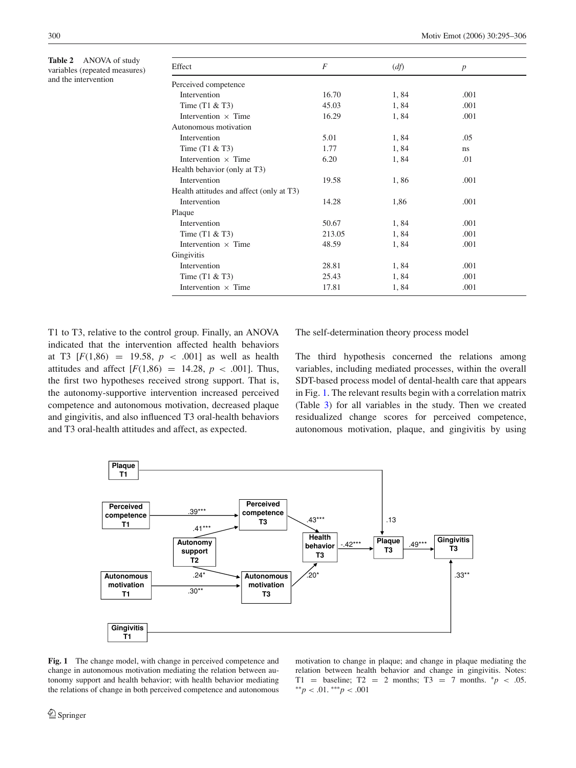<span id="page-5-0"></span>**Table 2** ANOVA of study variables (repeated measures) and the intervention

| Effect                                   | $\overline{F}$ | (df) | $\boldsymbol{p}$ |  |
|------------------------------------------|----------------|------|------------------|--|
| Perceived competence                     |                |      |                  |  |
| Intervention                             | 16.70          | 1,84 | .001             |  |
| Time $(T1 & 2T3)$                        | 45.03          | 1,84 | .001             |  |
| Intervention $\times$ Time               | 16.29          | 1,84 | .001             |  |
| Autonomous motivation                    |                |      |                  |  |
| Intervention                             | 5.01           | 1,84 | .05              |  |
| Time $(T1 & 2T3)$                        | 1.77           | 1,84 | ns               |  |
| Intervention $\times$ Time               | 6.20           | 1,84 | .01              |  |
| Health behavior (only at T3)             |                |      |                  |  |
| Intervention                             | 19.58          | 1,86 | .001             |  |
| Health attitudes and affect (only at T3) |                |      |                  |  |
| Intervention                             | 14.28          | 1,86 | .001             |  |
| Plaque                                   |                |      |                  |  |
| Intervention                             | 50.67          | 1,84 | .001             |  |
| Time $(T1 & 2T3)$                        | 213.05         | 1,84 | .001             |  |
| Intervention $\times$ Time               | 48.59          | 1,84 | .001             |  |
| Gingivitis                               |                |      |                  |  |
| Intervention                             | 28.81          | 1,84 | .001             |  |
| Time $(T1 & 2T3)$                        | 25.43          | 1,84 | .001             |  |
| Intervention $\times$ Time               | 17.81          | 1,84 | .001             |  |

T1 to T3, relative to the control group. Finally, an ANOVA indicated that the intervention affected health behaviors at T3  $[F(1,86) = 19.58, p < .001]$  as well as health attitudes and affect  $[F(1,86) = 14.28, p < .001]$ . Thus, the first two hypotheses received strong support. That is, the autonomy-supportive intervention increased perceived competence and autonomous motivation, decreased plaque and gingivitis, and also influenced T3 oral-health behaviors and T3 oral-health attitudes and affect, as expected.

The self-determination theory process model

The third hypothesis concerned the relations among variables, including mediated processes, within the overall SDT-based process model of dental-health care that appears in Fig. [1.](#page-5-1) The relevant results begin with a correlation matrix (Table [3\)](#page-6-0) for all variables in the study. Then we created residualized change scores for perceived competence, autonomous motivation, plaque, and gingivitis by using

<span id="page-5-1"></span>

**Fig. 1** The change model, with change in perceived competence and change in autonomous motivation mediating the relation between autonomy support and health behavior; with health behavior mediating the relations of change in both perceived competence and autonomous motivation to change in plaque; and change in plaque mediating the relation between health behavior and change in gingivitis. Notes: T1 = baseline; T2 = 2 months; T3 = 7 months.  $^*p$  < .05. ∗∗*p* < .01. ∗∗∗*p* < .001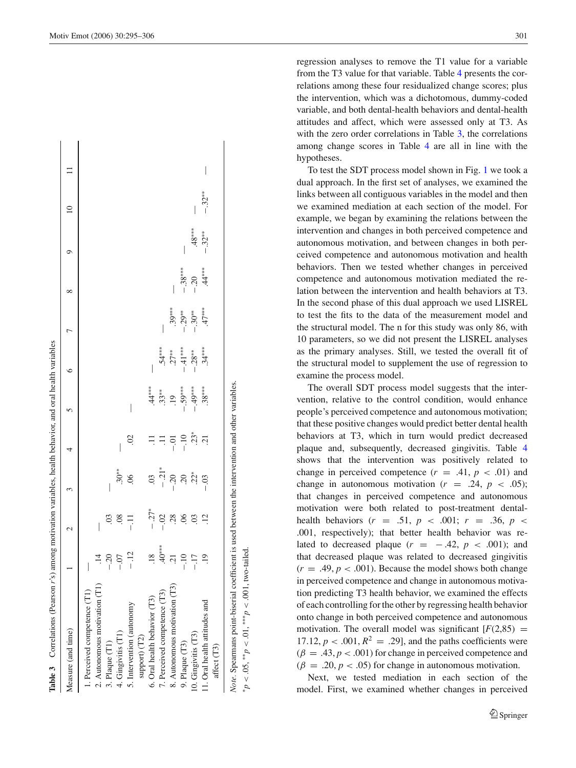|                    | Table 3 Correlations (Pearson r's) among motivation variables, health behavior, and oral health variables |         |                                       |                |   |                |          |          |  |  |
|--------------------|-----------------------------------------------------------------------------------------------------------|---------|---------------------------------------|----------------|---|----------------|----------|----------|--|--|
| Measure (and time) |                                                                                                           |         |                                       |                |   |                |          |          |  |  |
|                    | 1. Perceived competence (                                                                                 |         |                                       |                |   |                |          |          |  |  |
|                    | 2. Autonomous motivation $(T1)$                                                                           |         | $\begin{array}{c} \hline \end{array}$ |                |   |                |          |          |  |  |
| 3. Plaque (T1)     |                                                                                                           | $-20$   | S.                                    |                |   |                |          |          |  |  |
|                    | 4. Gingivitis (T1)                                                                                        | $-0.07$ | .08                                   | $.30**$        |   |                |          |          |  |  |
|                    | 5. Intervention (autonomy                                                                                 | $-12$   | ミー                                    |                | S | I              |          |          |  |  |
|                    | support) (T2)                                                                                             |         |                                       |                |   |                |          |          |  |  |
|                    | 6. Oral health behavior (T3)                                                                              | .18     | $-27*$                                | $\ddot{\circ}$ |   | $44***$        |          |          |  |  |
|                    | 7. Perceived competence (T3)                                                                              | $40***$ | $-02$                                 | $-21*$         |   | $.33**$        | $.54***$ |          |  |  |
|                    | 8. Autonomous motivation (T3)                                                                             |         | 28                                    | $-0.20$        |   | $\overline{.}$ | $.27**$  | $.39***$ |  |  |

**lable 3** Correlations (Pearson  $r$ 's) among motivation variables, health behavior, and oral health variables

*Note.* Spearmans point-biserial coefficient is used between the intervention and other variables. Note. Spearmans point-biserial coefficient is used between the intervention and other variables  $< .001$ , two-tailed.  $< .05, *p < .01, *p <$ ∗*<sup>p</sup>*

9. Plaque (T3)

10. Gingivitis (T3)

11. Oral health attitudes and affect (T3)

<span id="page-6-0"></span>11. Oral health attitudes and 0. Gingivitis (T3) 9. Plaque (T3)

.19 .12

−.10 .06 .20

−.10

−.17 .03 .22∗ .23∗ −.49∗∗∗

 $\frac{2}{3}$   $\frac{2}{3}$   $\frac{2}{3}$ 

 $892$ 

 $rac{1}{1}$ <br> $rac{1}{1}$ <br> $rac{1}{1}$ 

 $.23*$  $\overline{21}$ 

−.59∗∗∗

−.41∗∗∗

−.28∗∗

 $.49***$  $38***$ 

−.03 .21 .21 .38°∗∗∗∗ .47°∗∗∗ .47°∗° .03 .21 .38°

 $.34***$ 

−.30∗∗

−.29∗∗

−.38∗∗∗

−.20 .48∗∗∗

 $48***$ 

 $\mathsf{L}$ 

−.32∗∗

 $\ddot{4}$ 

 $47***$ 

−.32∗∗

 $\overline{\phantom{a}}$ 

regression analyses to remove the T1 value for a variable from the T3 value for that variable. Table [4](#page-7-0) presents the correlations among these four residualized change scores; plus the intervention, which was a dichotomous, dummy-coded variable, and both dental-health behaviors and dental-health attitudes and affect, which were assessed only at T3. As with the zero order correlations in Table [3,](#page-6-0) the correlations among change scores in Table [4](#page-7-0) are all in line with the hypotheses.

To test the SDT process model shown in Fig. [1](#page-5-1) we took a dual approach. In the first set of analyses, we examined the links between all contiguous variables in the model and then we examined mediation at each section of the model. For example, we began by examining the relations between the intervention and changes in both perceived competence and autonomous motivation, and between changes in both perceived competence and autonomous motivation and health behaviors. Then we tested whether changes in perceived competence and autonomous motivation mediated the relation between the intervention and health behaviors at T3. In the second phase of this dual approach we used LISREL to test the fits to the data of the measurement model and the structural model. The n for this study was only 86, with 10 parameters, so we did not present the LISREL analyses as the primary analyses. Still, we tested the overall fit of the structural model to supplement the use of regression to examine the process model.

The overall SDT process model suggests that the intervention, relative to the control condition, would enhance people's perceived competence and autonomous motivation; that these positive changes would predict better dental health behaviors at T3, which in turn would predict decreased plaque and, subsequently, decreased gingivitis. Table [4](#page-7-0) shows that the intervention was positively related to change in perceived competence  $(r = .41, p < .01)$  and change in autonomous motivation  $(r = .24, p < .05)$ ; that changes in perceived competence and autonomous motivation were both related to post-treatment dentalhealth behaviors ( $r = .51$ ,  $p < .001$ ;  $r = .36$ ,  $p <$ .001, respectively); that better health behavior was related to decreased plaque  $(r = -0.42, p < 0.001)$ ; and that decreased plaque was related to decreased gingivitis  $(r = .49, p < .001)$ . Because the model shows both change in perceived competence and change in autonomous motivation predicting T3 health behavior, we examined the effects of each controlling for the other by regressing health behavior onto change in both perceived competence and autonomous motivation. The overall model was significant  $[F(2,85) =$ 17.12,  $p < .001$ ,  $R^2 = .29$ ], and the paths coefficients were  $(\beta = .43, p < .001)$  for change in perceived competence and  $(\beta = .20, p < .05)$  for change in autonomous motivation.

Next, we tested mediation in each section of the model. First, we examined whether changes in perceived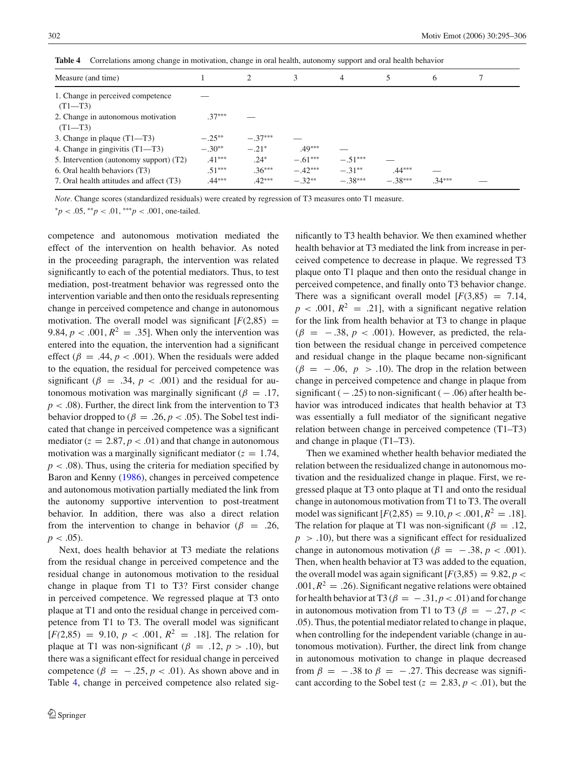| Measure (and time)                                |          | $\mathcal{D}_{\mathcal{L}}$ | 3         | 4         | 5         | 6        |  |
|---------------------------------------------------|----------|-----------------------------|-----------|-----------|-----------|----------|--|
| 1. Change in perceived competence<br>$(T1 - T3)$  |          |                             |           |           |           |          |  |
| 2. Change in autonomous motivation<br>$(T1 - T3)$ | $.37***$ |                             |           |           |           |          |  |
| 3. Change in plaque $(T1 - T3)$                   | $-.25**$ | $-.37***$                   |           |           |           |          |  |
| 4. Change in gingivitis (T1—T3)                   | $-.30**$ | $-.21*$                     | $.49***$  |           |           |          |  |
| 5. Intervention (autonomy support) (T2)           | $.41***$ | $.24*$                      | $-.61***$ | $-.51***$ |           |          |  |
| 6. Oral health behaviors (T3)                     | $.51***$ | $.36***$                    | $-.42***$ | $-.31**$  | $.44***$  |          |  |
| 7. Oral health attitudes and affect (T3)          | $.44***$ | $.42***$                    | $-.32**$  | $-.38***$ | $-.38***$ | $.34***$ |  |

<span id="page-7-0"></span>**Table 4** Correlations among change in motivation, change in oral health, autonomy support and oral health behavior

*Note*. Change scores (standardized residuals) were created by regression of T3 measures onto T1 measure.

<sup>∗</sup>*p* < .05, ∗∗*p* < .01, ∗∗∗*p* < .001, one-tailed.

competence and autonomous motivation mediated the effect of the intervention on health behavior. As noted in the proceeding paragraph, the intervention was related significantly to each of the potential mediators. Thus, to test mediation, post-treatment behavior was regressed onto the intervention variable and then onto the residuals representing change in perceived competence and change in autonomous motivation. The overall model was significant  $[F(2,85) =$ 9.84,  $p < .001$ ,  $R^2 = .35$ . When only the intervention was entered into the equation, the intervention had a significant effect ( $\beta = .44$ ,  $p < .001$ ). When the residuals were added to the equation, the residual for perceived competence was significant ( $\beta = .34$ ,  $p < .001$ ) and the residual for autonomous motivation was marginally significant ( $\beta = .17$ ,  $p < .08$ ). Further, the direct link from the intervention to T3 behavior dropped to ( $\beta = .26$ ,  $p < .05$ ). The Sobel test indicated that change in perceived competence was a significant mediator  $(z = 2.87, p < .01)$  and that change in autonomous motivation was a marginally significant mediator  $(z = 1.74, ...)$  $p < .08$ ). Thus, using the criteria for mediation specified by Baron and Kenny [\(1986\)](#page-10-12), changes in perceived competence and autonomous motivation partially mediated the link from the autonomy supportive intervention to post-treatment behavior. In addition, there was also a direct relation from the intervention to change in behavior ( $\beta = .26$ ,  $p < .05$ ).

Next, does health behavior at T3 mediate the relations from the residual change in perceived competence and the residual change in autonomous motivation to the residual change in plaque from T1 to T3? First consider change in perceived competence. We regressed plaque at T3 onto plaque at T1 and onto the residual change in perceived competence from T1 to T3. The overall model was significant  $[F(2,85) = 9.10, p < .001, R^2 = .18]$ . The relation for plaque at T1 was non-significant ( $\beta = .12$ ,  $p > .10$ ), but there was a significant effect for residual change in perceived competence ( $\beta = -0.25$ ,  $p < 0.01$ ). As shown above and in Table [4,](#page-7-0) change in perceived competence also related sig-

nificantly to T3 health behavior. We then examined whether health behavior at T3 mediated the link from increase in perceived competence to decrease in plaque. We regressed T3 plaque onto T1 plaque and then onto the residual change in perceived competence, and finally onto T3 behavior change. There was a significant overall model  $[F(3,85) = 7.14,$  $p < .001$ ,  $R^2 = .21$ , with a significant negative relation for the link from health behavior at T3 to change in plaque  $(\beta = -0.38, p < 0.001)$ . However, as predicted, the relation between the residual change in perceived competence and residual change in the plaque became non-significant  $(\beta = -0.06, p > 0.10)$ . The drop in the relation between change in perceived competence and change in plaque from significant  $(-.25)$  to non-significant  $(-.06)$  after health behavior was introduced indicates that health behavior at T3 was essentially a full mediator of the significant negative relation between change in perceived competence (T1–T3) and change in plaque (T1–T3).

Then we examined whether health behavior mediated the relation between the residualized change in autonomous motivation and the residualized change in plaque. First, we regressed plaque at T3 onto plaque at T1 and onto the residual change in autonomous motivation from T1 to T3. The overall model was significant  $[F(2,85) = 9.10, p < .001, R^2 = .18]$ . The relation for plaque at T1 was non-significant ( $\beta = .12$ ,  $p > .10$ ), but there was a significant effect for residualized change in autonomous motivation ( $\beta = -.38, p < .001$ ). Then, when health behavior at T3 was added to the equation, the overall model was again significant  $[F(3,85) = 9.82, p <$  $.001, R<sup>2</sup> = .26$ ). Significant negative relations were obtained for health behavior at T3 ( $\beta = -.31, p < .01$ ) and for change in autonomous motivation from T1 to T3 ( $\beta = -.27, p <$ .05). Thus, the potential mediator related to change in plaque, when controlling for the independent variable (change in autonomous motivation). Further, the direct link from change in autonomous motivation to change in plaque decreased from  $\beta = -0.38$  to  $\beta = -0.27$ . This decrease was significant according to the Sobel test ( $z = 2.83$ ,  $p < .01$ ), but the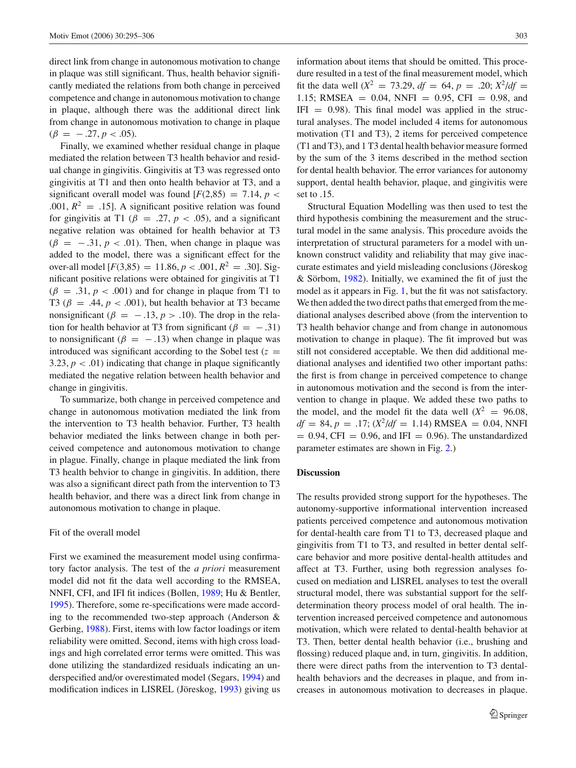direct link from change in autonomous motivation to change in plaque was still significant. Thus, health behavior significantly mediated the relations from both change in perceived competence and change in autonomous motivation to change in plaque, although there was the additional direct link from change in autonomous motivation to change in plaque  $(\beta = -0.27, p < 0.05)$ .

Finally, we examined whether residual change in plaque mediated the relation between T3 health behavior and residual change in gingivitis. Gingivitis at T3 was regressed onto gingivitis at T1 and then onto health behavior at T3, and a significant overall model was found  $[F(2,85) = 7.14, p <$ .001,  $R^2 = .15$ ]. A significant positive relation was found for gingivitis at T1 ( $\beta$  = .27,  $p$  < .05), and a significant negative relation was obtained for health behavior at T3  $(\beta = -0.31, p < 0.01)$ . Then, when change in plaque was added to the model, there was a significant effect for the over-all model  $[F(3,85) = 11.86, p < .001, R^2 = .30]$ . Significant positive relations were obtained for gingivitis at T1  $(\beta = .31, p < .001)$  and for change in plaque from T1 to T3 ( $\beta$  = .44,  $p < .001$ ), but health behavior at T3 became nonsignificant ( $\beta = -0.13$ ,  $p > 0.10$ ). The drop in the relation for health behavior at T3 from significant ( $\beta = -.31$ ) to nonsignificant ( $\beta = -13$ ) when change in plaque was introduced was significant according to the Sobel test  $(z =$ 3.23,  $p < .01$ ) indicating that change in plaque significantly mediated the negative relation between health behavior and change in gingivitis.

To summarize, both change in perceived competence and change in autonomous motivation mediated the link from the intervention to T3 health behavior. Further, T3 health behavior mediated the links between change in both perceived competence and autonomous motivation to change in plague. Finally, change in plaque mediated the link from T3 health behvior to change in gingivitis. In addition, there was also a significant direct path from the intervention to T3 health behavior, and there was a direct link from change in autonomous motivation to change in plaque.

## Fit of the overall model

First we examined the measurement model using confirmatory factor analysis. The test of the *a priori* measurement model did not fit the data well according to the RMSEA, NNFI, CFI, and IFI fit indices (Bollen, [1989;](#page-10-13) Hu & Bentler, [1995\)](#page-10-14). Therefore, some re-specifications were made according to the recommended two-step approach (Anderson & Gerbing, [1988\)](#page-10-15). First, items with low factor loadings or item reliability were omitted. Second, items with high cross loadings and high correlated error terms were omitted. This was done utilizing the standardized residuals indicating an underspecified and/or overestimated model (Segars, [1994\)](#page-11-24) and modification indices in LISREL (Jöreskog, [1993\)](#page-11-25) giving us information about items that should be omitted. This procedure resulted in a test of the final measurement model, which fit the data well ( $X^2 = 73.29$ ,  $df = 64$ ,  $p = .20$ ;  $X^2/df =$ 1.15; RMSEA = 0.04, NNFI = 0.95, CFI = 0.98, and  $IFI = 0.98$ ). This final model was applied in the structural analyses. The model included 4 items for autonomous motivation (T1 and T3), 2 items for perceived competence (T1 and T3), and 1 T3 dental health behavior measure formed by the sum of the 3 items described in the method section for dental health behavior. The error variances for autonomy support, dental health behavior, plaque, and gingivitis were set to .15.

Structural Equation Modelling was then used to test the third hypothesis combining the measurement and the structural model in the same analysis. This procedure avoids the interpretation of structural parameters for a model with unknown construct validity and reliability that may give inaccurate estimates and yield misleading conclusions (Jöreskog & Sörbom,  $1982$ ). Initially, we examined the fit of just the model as it appears in Fig. [1,](#page-5-1) but the fit was not satisfactory. We then added the two direct paths that emerged from the mediational analyses described above (from the intervention to T3 health behavior change and from change in autonomous motivation to change in plaque). The fit improved but was still not considered acceptable. We then did additional mediational analyses and identified two other important paths: the first is from change in perceived competence to change in autonomous motivation and the second is from the intervention to change in plaque. We added these two paths to the model, and the model fit the data well  $(X^2 = 96.08,$  $df = 84, p = .17$ ;  $(X^2/df = 1.14)$  RMSEA = 0.04, NNFI  $= 0.94$ , CFI  $= 0.96$ , and IFI  $= 0.96$ ). The unstandardized parameter estimates are shown in Fig. [2.](#page-9-0))

# **Discussion**

The results provided strong support for the hypotheses. The autonomy-supportive informational intervention increased patients perceived competence and autonomous motivation for dental-health care from T1 to T3, decreased plaque and gingivitis from T1 to T3, and resulted in better dental selfcare behavior and more positive dental-health attitudes and affect at T3. Further, using both regression analyses focused on mediation and LISREL analyses to test the overall structural model, there was substantial support for the selfdetermination theory process model of oral health. The intervention increased perceived competence and autonomous motivation, which were related to dental-health behavior at T3. Then, better dental health behavior (i.e., brushing and flossing) reduced plaque and, in turn, gingivitis. In addition, there were direct paths from the intervention to T3 dentalhealth behaviors and the decreases in plaque, and from increases in autonomous motivation to decreases in plaque.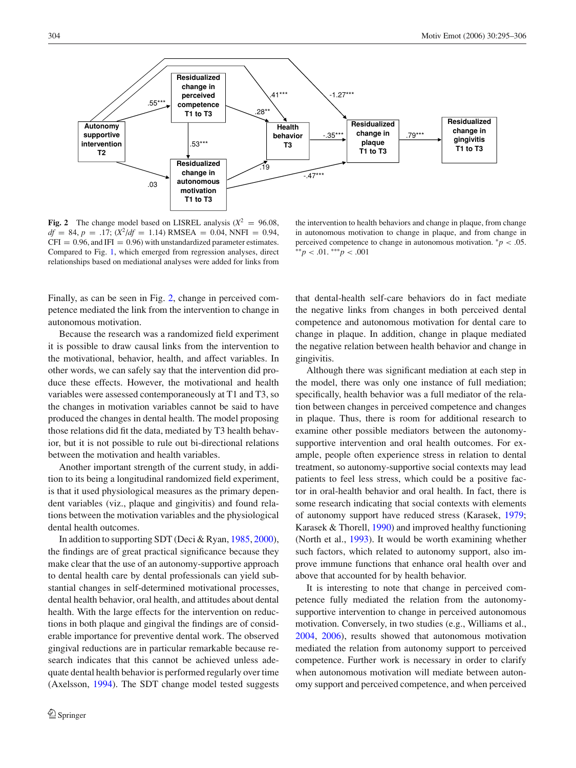<span id="page-9-0"></span>

**Fig. 2** The change model based on LISREL analysis  $(X^2 = 96.08,$  $df = 84$ ,  $p = .17$ ;  $(X^2/df = 1.14)$  RMSEA = 0.04, NNFI = 0.94,  $CFI = 0.96$ , and IFI = 0.96) with unstandardized parameter estimates. Compared to Fig. [1,](#page-5-1) which emerged from regression analyses, direct relationships based on mediational analyses were added for links from

the intervention to health behaviors and change in plaque, from change in autonomous motivation to change in plaque, and from change in perceived competence to change in autonomous motivation.  $p < .05$ . ∗∗*p* < .01. ∗∗∗*p* < .001

Finally, as can be seen in Fig. [2,](#page-9-0) change in perceived competence mediated the link from the intervention to change in autonomous motivation.

Because the research was a randomized field experiment it is possible to draw causal links from the intervention to the motivational, behavior, health, and affect variables. In other words, we can safely say that the intervention did produce these effects. However, the motivational and health variables were assessed contemporaneously at T1 and T3, so the changes in motivation variables cannot be said to have produced the changes in dental health. The model proposing those relations did fit the data, mediated by T3 health behavior, but it is not possible to rule out bi-directional relations between the motivation and health variables.

Another important strength of the current study, in addition to its being a longitudinal randomized field experiment, is that it used physiological measures as the primary dependent variables (viz., plaque and gingivitis) and found relations between the motivation variables and the physiological dental health outcomes.

In addition to supporting SDT (Deci & Ryan, [1985,](#page-10-4) [2000\)](#page-10-16), the findings are of great practical significance because they make clear that the use of an autonomy-supportive approach to dental health care by dental professionals can yield substantial changes in self-determined motivational processes, dental health behavior, oral health, and attitudes about dental health. With the large effects for the intervention on reductions in both plaque and gingival the findings are of considerable importance for preventive dental work. The observed gingival reductions are in particular remarkable because research indicates that this cannot be achieved unless adequate dental health behavior is performed regularly over time (Axelsson, [1994\)](#page-10-17). The SDT change model tested suggests

that dental-health self-care behaviors do in fact mediate the negative links from changes in both perceived dental competence and autonomous motivation for dental care to change in plaque. In addition, change in plaque mediated the negative relation between health behavior and change in gingivitis.

Although there was significant mediation at each step in the model, there was only one instance of full mediation; specifically, health behavior was a full mediator of the relation between changes in perceived competence and changes in plaque. Thus, there is room for additional research to examine other possible mediators between the autonomysupportive intervention and oral health outcomes. For example, people often experience stress in relation to dental treatment, so autonomy-supportive social contexts may lead patients to feel less stress, which could be a positive factor in oral-health behavior and oral health. In fact, there is some research indicating that social contexts with elements of autonomy support have reduced stress (Karasek, [1979;](#page-11-27) Karasek & Thorell, [1990\)](#page-11-28) and improved healthy functioning (North et al., [1993\)](#page-11-29). It would be worth examining whether such factors, which related to autonomy support, also improve immune functions that enhance oral health over and above that accounted for by health behavior.

It is interesting to note that change in perceived competence fully mediated the relation from the autonomysupportive intervention to change in perceived autonomous motivation. Conversely, in two studies (e.g., Williams et al., [2004,](#page-11-10) [2006\)](#page-11-6), results showed that autonomous motivation mediated the relation from autonomy support to perceived competence. Further work is necessary in order to clarify when autonomous motivation will mediate between autonomy support and perceived competence, and when perceived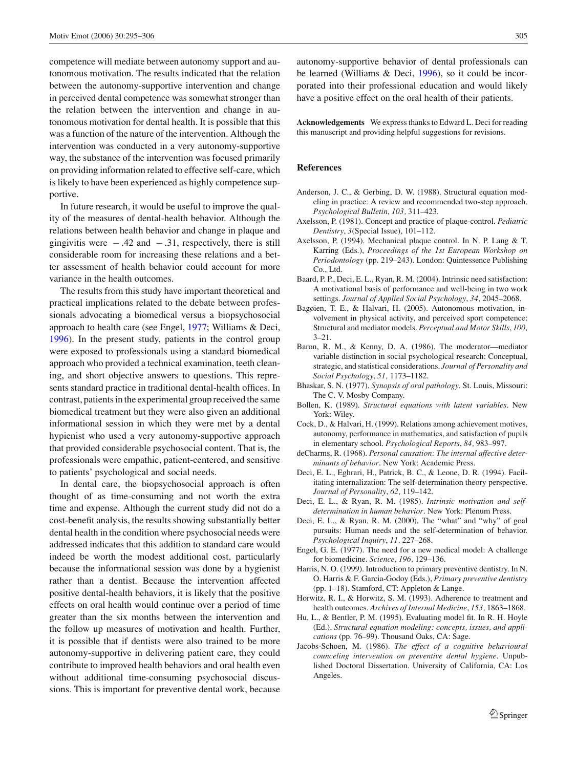competence will mediate between autonomy support and autonomous motivation. The results indicated that the relation between the autonomy-supportive intervention and change in perceived dental competence was somewhat stronger than the relation between the intervention and change in autonomous motivation for dental health. It is possible that this was a function of the nature of the intervention. Although the intervention was conducted in a very autonomy-supportive way, the substance of the intervention was focused primarily on providing information related to effective self-care, which is likely to have been experienced as highly competence supportive.

In future research, it would be useful to improve the quality of the measures of dental-health behavior. Although the relations between health behavior and change in plaque and gingivitis were  $-.42$  and  $-.31$ , respectively, there is still considerable room for increasing these relations and a better assessment of health behavior could account for more variance in the health outcomes.

The results from this study have important theoretical and practical implications related to the debate between professionals advocating a biomedical versus a biopsychosocial approach to health care (see Engel, [1977;](#page-10-5) Williams & Deci, [1996\)](#page-11-12). In the present study, patients in the control group were exposed to professionals using a standard biomedical approach who provided a technical examination, teeth cleaning, and short objective answers to questions. This represents standard practice in traditional dental-health offices. In contrast, patients in the experimental group received the same biomedical treatment but they were also given an additional informational session in which they were met by a dental hypienist who used a very autonomy-supportive approach that provided considerable psychosocial content. That is, the professionals were empathic, patient-centered, and sensitive to patients' psychological and social needs.

In dental care, the biopsychosocial approach is often thought of as time-consuming and not worth the extra time and expense. Although the current study did not do a cost-benefit analysis, the results showing substantially better dental health in the condition where psychosocial needs were addressed indicates that this addition to standard care would indeed be worth the modest additional cost, particularly because the informational session was done by a hygienist rather than a dentist. Because the intervention affected positive dental-health behaviors, it is likely that the positive effects on oral health would continue over a period of time greater than the six months between the intervention and the follow up measures of motivation and health. Further, it is possible that if dentists were also trained to be more autonomy-supportive in delivering patient care, they could contribute to improved health behaviors and oral health even without additional time-consuming psychosocial discussions. This is important for preventive dental work, because

autonomy-supportive behavior of dental professionals can be learned (Williams & Deci, [1996\)](#page-11-12), so it could be incorporated into their professional education and would likely have a positive effect on the oral health of their patients.

**Acknowledgements** We express thanks to Edward L. Deci for reading this manuscript and providing helpful suggestions for revisions.

#### **References**

- Anderson, J. C., & Gerbing, D. W. (1988). Structural equation modeling in practice: A review and recommended two-step approach. *Psychological Bulletin*, *103,* 311–423.
- <span id="page-10-15"></span>Axelsson, P. (1981). Concept and practice of plaque-control. *Pediatric Dentistry*, *3*(Special Issue), 101–112.
- <span id="page-10-1"></span>Axelsson, P. (1994). Mechanical plaque control. In N. P. Lang & T. Karring (Eds.), *Proceedings of the 1st European Workshop on Periodontology* (pp. 219–243). London: Quintessence Publishing Co., Ltd.
- <span id="page-10-17"></span>Baard, P. P., Deci, E. L., Ryan, R. M. (2004). Intrinsic need satisfaction: A motivational basis of performance and well-being in two work settings. *Journal of Applied Social Psychology*, *34,* 2045–2068.
- <span id="page-10-8"></span>Bagøien, T. E., & Halvari, H. (2005). Autonomous motivation, involvement in physical activity, and perceived sport competence: Structural and mediator models. *Perceptual and Motor Skills*, *100,* 3–21.
- <span id="page-10-7"></span>Baron, R. M., & Kenny, D. A. (1986). The moderator—mediator variable distinction in social psychological research: Conceptual, strategic, and statistical considerations. *Journal of Personality and Social Psychology*, *51,* 1173–1182.
- <span id="page-10-12"></span>Bhaskar, S. N. (1977). *Synopsis of oral pathology*. St. Louis, Missouri: The C. V. Mosby Company.
- <span id="page-10-2"></span>Bollen, K. (1989). *Structural equations with latent variables*. New York: Wiley.
- <span id="page-10-13"></span>Cock, D., & Halvari, H. (1999). Relations among achievement motives, autonomy, performance in mathematics, and satisfaction of pupils in elementary school. *Psychological Reports*, *84,* 983–997.
- <span id="page-10-11"></span>deCharms, R. (1968). *Personal causation: The internal affective determinants of behavior*. New York: Academic Press.
- <span id="page-10-6"></span>Deci, E. L., Eghrari, H., Patrick, B. C., & Leone, D. R. (1994). Facilitating internalization: The self-determination theory perspective. *Journal of Personality*, *62,* 119–142.
- <span id="page-10-9"></span>Deci, E. L., & Ryan, R. M. (1985). *Intrinsic motivation and selfdetermination in human behavior*. New York: Plenum Press.
- <span id="page-10-4"></span>Deci, E. L., & Ryan, R. M. (2000). The "what" and "why" of goal pursuits: Human needs and the self-determination of behavior. *Psychological Inquiry*, *11,* 227–268.
- <span id="page-10-16"></span>Engel, G. E. (1977). The need for a new medical model: A challenge for biomedicine. *Science*, *196,* 129–136.
- <span id="page-10-5"></span>Harris, N. O. (1999). Introduction to primary preventive dentistry. In N. O. Harris & F. Garcia-Godoy (Eds.), *Primary preventive dentistry* (pp. 1–18). Stamford, CT: Appleton & Lange.
- <span id="page-10-0"></span>Horwitz, R. I., & Horwitz, S. M. (1993). Adherence to treatment and health outcomes. *Archives of Internal Medicine*, *153,* 1863–1868.
- <span id="page-10-3"></span>Hu, L., & Bentler, P. M. (1995). Evaluating model fit. In R. H. Hoyle (Ed.), *Structural equation modeling: concepts, issues, and applications* (pp. 76–99). Thousand Oaks, CA: Sage.
- <span id="page-10-14"></span><span id="page-10-10"></span>Jacobs-Schoen, M. (1986). *The effect of a cognitive behavioural counceling intervention on preventive dental hygiene*. Unpublished Doctoral Dissertation. University of California, CA: Los Angeles.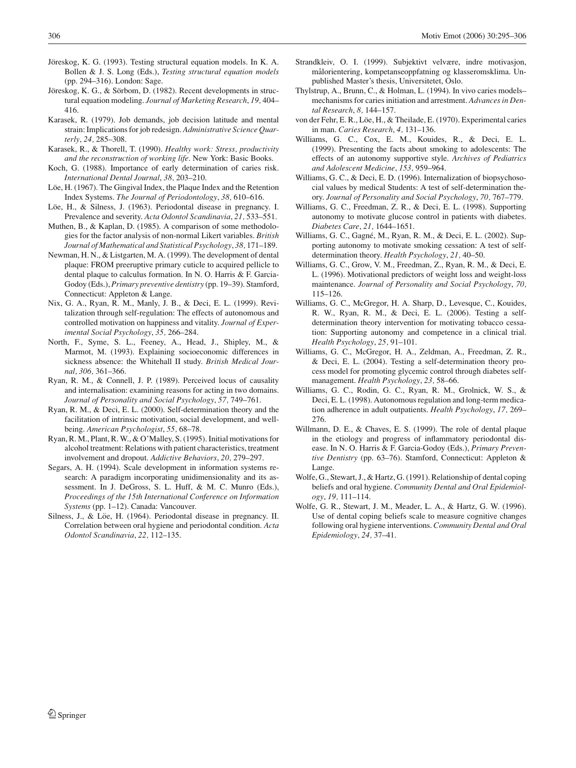- Jöreskog, K. G. (1993). Testing structural equation models. In K. A. Bollen & J. S. Long (Eds.), *Testing structural equation models* (pp. 294–316). London: Sage.
- <span id="page-11-25"></span>Jöreskog, K. G., & Sörbom, D. (1982). Recent developments in structural equation modeling. *Journal of Marketing Research*, *19,* 404– 416.
- <span id="page-11-26"></span>Karasek, R. (1979). Job demands, job decision latitude and mental strain: Implications for job redesign. *Administrative Science Quarterly*, *24,* 285–308.
- <span id="page-11-27"></span>Karasek, R., & Thorell, T. (1990). *Healthy work: Stress, productivity and the reconstruction of working life*. New York: Basic Books.
- Koch, G. (1988). Importance of early determination of caries risk. *International Dental Journal*, *38,* 203–210.
- <span id="page-11-2"></span>Löe, H. (1967). The Gingival Index, the Plaque Index and the Retention Index Systems. *The Journal of Periodontology*, *38,* 610–616.
- Löe, H., & Silness, J. (1963). Periodontal disease in pregnancy. I. Prevalence and severity. *Acta Odontol Scandinavia*, *21,* 533–551.
- Muthen, B., & Kaplan, D. (1985). A comparison of some methodologies for the factor analysis of non-normal Likert variables. *British Journal of Mathematical and Statistical Psychology*, *38,* 171–189.
- Newman, H. N., & Listgarten, M. A. (1999). The development of dental plaque: FROM preeruptive primary cuticle to acquired pellicle to dental plaque to calculus formation. In N. O. Harris & F. Garcia-Godoy (Eds.), *Primary preventive dentistry* (pp. 19–39). Stamford, Connecticut: Appleton & Lange.
- <span id="page-11-0"></span>Nix, G. A., Ryan, R. M., Manly, J. B., & Deci, E. L. (1999). Revitalization through self-regulation: The effects of autonomous and controlled motivation on happiness and vitality. *Journal of Experimental Social Psychology*, *35,* 266–284.
- <span id="page-11-16"></span>North, F., Syme, S. L., Feeney, A., Head, J., Shipley, M., & Marmot, M. (1993). Explaining socioeconomic differences in sickness absence: the Whitehall II study. *British Medical Journal*, *306,* 361–366.
- <span id="page-11-29"></span>Ryan, R. M., & Connell, J. P. (1989). Perceived locus of causality and internalisation: examining reasons for acting in two domains. *Journal of Personality and Social Psychology*, *57,* 749–761.
- Ryan, R. M., & Deci, E. L. (2000). Self-determination theory and the facilitation of intrinsic motivation, social development, and wellbeing. *American Psychologist*, *55,* 68–78.
- <span id="page-11-8"></span>Ryan, R. M., Plant, R. W., & O'Malley, S. (1995). Initial motivations for alcohol treatment: Relations with patient characteristics, treatment involvement and dropout. *Addictive Behaviors*, *20,* 279–297.
- Segars, A. H. (1994). Scale development in information systems research: A paradigm incorporating unidimensionality and its assessment. In J. DeGross, S. L. Huff, & M. C. Munro (Eds.), *Proceedings of the 15th International Conference on Information Systems* (pp. 1–12). Canada: Vancouver.
- <span id="page-11-24"></span><span id="page-11-19"></span>Silness, J., & Löe, H. (1964). Periodontal disease in pregnancy. II. Correlation between oral hygiene and periodontal condition. *Acta Odontol Scandinavia*, *22,* 112–135.
- Strandkleiv, O. I. (1999). Subjektivt velvære, indre motivasjon, målorientering, kompetanseoppfatning og klasseromsklima. Unpublished Master's thesis, Universitetet, Oslo.
- <span id="page-11-22"></span>Thylstrup, A., Brunn, C., & Holman, L. (1994). In vivo caries models– mechanisms for caries initiation and arrestment. *Advances in Dental Research*, *8,* 144–157.
- <span id="page-11-4"></span>von der Fehr, E. R., Löe, H., & Theilade, E. (1970). Experimental caries in man. *Caries Research*, *4,* 131–136.
- <span id="page-11-3"></span>Williams, G. C., Cox, E. M., Kouides, R., & Deci, E. L. (1999). Presenting the facts about smoking to adolescents: The effects of an autonomy supportive style. *Archives of Pediatrics and Adolescent Medicine*, *153,* 959–964.
- <span id="page-11-28"></span><span id="page-11-9"></span>Williams, G. C., & Deci, E. D. (1996). Internalization of biopsychosocial values by medical Students: A test of self-determination theory. *Journal of Personality and Social Psychology*, *70,* 767–779.
- <span id="page-11-20"></span><span id="page-11-12"></span>Williams, G. C., Freedman, Z. R., & Deci, E. L. (1998). Supporting autonomy to motivate glucose control in patients with diabetes. *Diabetes Care*, *21,* 1644–1651.
- <span id="page-11-14"></span><span id="page-11-5"></span>Williams, G. C., Gagné, M., Ryan, R. M., & Deci, E. L. (2002). Supporting autonomy to motivate smoking cessation: A test of selfdetermination theory. *Health Psychology*, *21,* 40–50.
- <span id="page-11-23"></span><span id="page-11-13"></span>Williams, G. C., Grow, V. M., Freedman, Z., Ryan, R. M., & Deci, E. L. (1996). Motivational predictors of weight loss and weight-loss maintenance. *Journal of Personality and Social Psychology*, *70,* 115–126.
- <span id="page-11-11"></span>Williams, G. C., McGregor, H. A. Sharp, D., Levesque, C., Kouides, R. W., Ryan, R. M., & Deci, E. L. (2006). Testing a selfdetermination theory intervention for motivating tobacco cessation: Supporting autonomy and competence in a clinical trial. *Health Psychology*, *25,* 91–101.
- <span id="page-11-6"></span>Williams, G. C., McGregor, H. A., Zeldman, A., Freedman, Z. R., & Deci, E. L. (2004). Testing a self-determination theory process model for promoting glycemic control through diabetes selfmanagement. *Health Psychology*, *23,* 58–66.
- <span id="page-11-17"></span><span id="page-11-10"></span>Williams, G. C., Rodin, G. C., Ryan, R. M., Grolnick, W. S., & Deci, E. L. (1998). Autonomous regulation and long-term medication adherence in adult outpatients. *Health Psychology*, *17,* 269– 276.
- <span id="page-11-7"></span>Willmann, D. E., & Chaves, E. S. (1999). The role of dental plaque in the etiology and progress of inflammatory periodontal disease. In N. O. Harris & F. Garcia-Godoy (Eds.), *Primary Preventive Dentistry* (pp. 63–76). Stamford, Connecticut: Appleton & Lange.
- <span id="page-11-15"></span><span id="page-11-1"></span>Wolfe, G., Stewart, J., & Hartz, G. (1991). Relationship of dental coping beliefs and oral hygiene. *Community Dental and Oral Epidemiology*, *19,* 111–114.
- <span id="page-11-21"></span><span id="page-11-18"></span>Wolfe, G. R., Stewart, J. M., Meader, L. A., & Hartz, G. W. (1996). Use of dental coping beliefs scale to measure cognitive changes following oral hygiene interventions. *Community Dental and Oral Epidemiology*, *24,* 37–41.